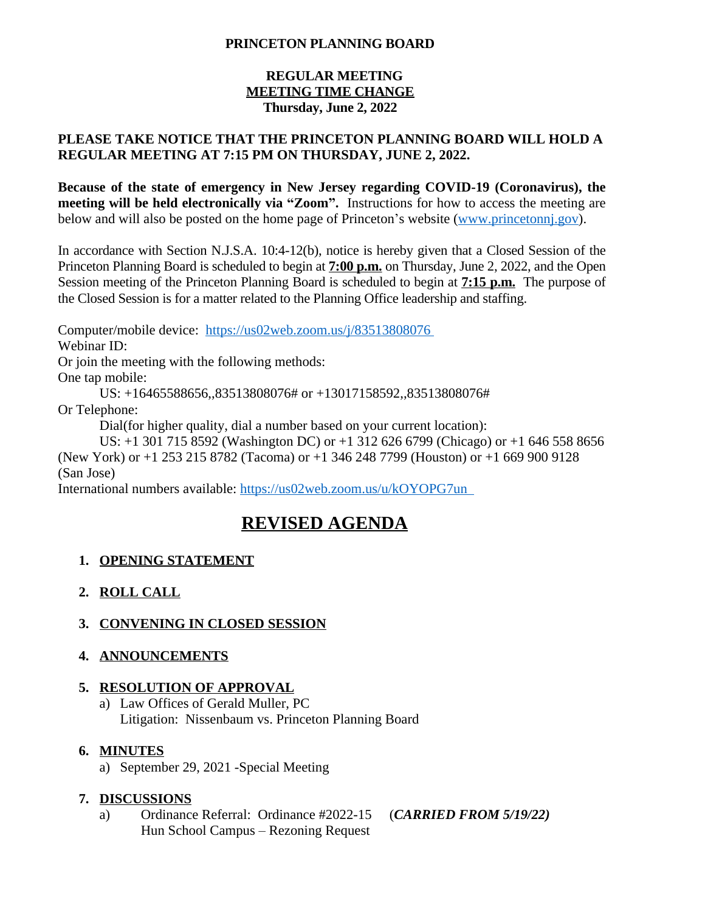#### **PRINCETON PLANNING BOARD**

#### **REGULAR MEETING MEETING TIME CHANGE Thursday, June 2, 2022**

#### **PLEASE TAKE NOTICE THAT THE PRINCETON PLANNING BOARD WILL HOLD A REGULAR MEETING AT 7:15 PM ON THURSDAY, JUNE 2, 2022.**

**Because of the state of emergency in New Jersey regarding COVID-19 (Coronavirus), the meeting will be held electronically via "Zoom".** Instructions for how to access the meeting are below and will also be posted on the home page of Princeton's website ([www.princetonnj.gov\)](http://www.princetonnj.gov).

In accordance with Section N.J.S.A. 10:4-12(b), notice is hereby given that a Closed Session of the Princeton Planning Board is scheduled to begin at **7:00 p.m.** on Thursday, June 2, 2022, and the Open Session meeting of the Princeton Planning Board is scheduled to begin at **7:15 p.m.** The purpose of the Closed Session is for a matter related to the Planning Office leadership and staffing.

Computer/mobile device: <https://us02web.zoom.us/j/83513808076> Webinar ID:

Or join the meeting with the following methods:

One tap mobile:

US: +16465588656,,83513808076# or +13017158592,,83513808076#

Or Telephone:

Dial(for higher quality, dial a number based on your current location):

US: +1 301 715 8592 (Washington DC) or +1 312 626 6799 (Chicago) or +1 646 558 8656 (New York) or +1 253 215 8782 (Tacoma) or +1 346 248 7799 (Houston) or +1 669 900 9128 (San Jose)

International numbers available: <https://us02web.zoom.us/u/kOYOPG7un>

# **REVISED AGENDA**

## **1. OPENING STATEMENT**

- **2. ROLL CALL**
- **3. CONVENING IN CLOSED SESSION**
- **4. ANNOUNCEMENTS**

## **5. RESOLUTION OF APPROVAL**

a) Law Offices of Gerald Muller, PC Litigation: Nissenbaum vs. Princeton Planning Board

## **6. MINUTES**

a) September 29, 2021 -Special Meeting

## **7. DISCUSSIONS**

a) Ordinance Referral: Ordinance #2022-15 (*CARRIED FROM 5/19/22)* Hun School Campus – Rezoning Request